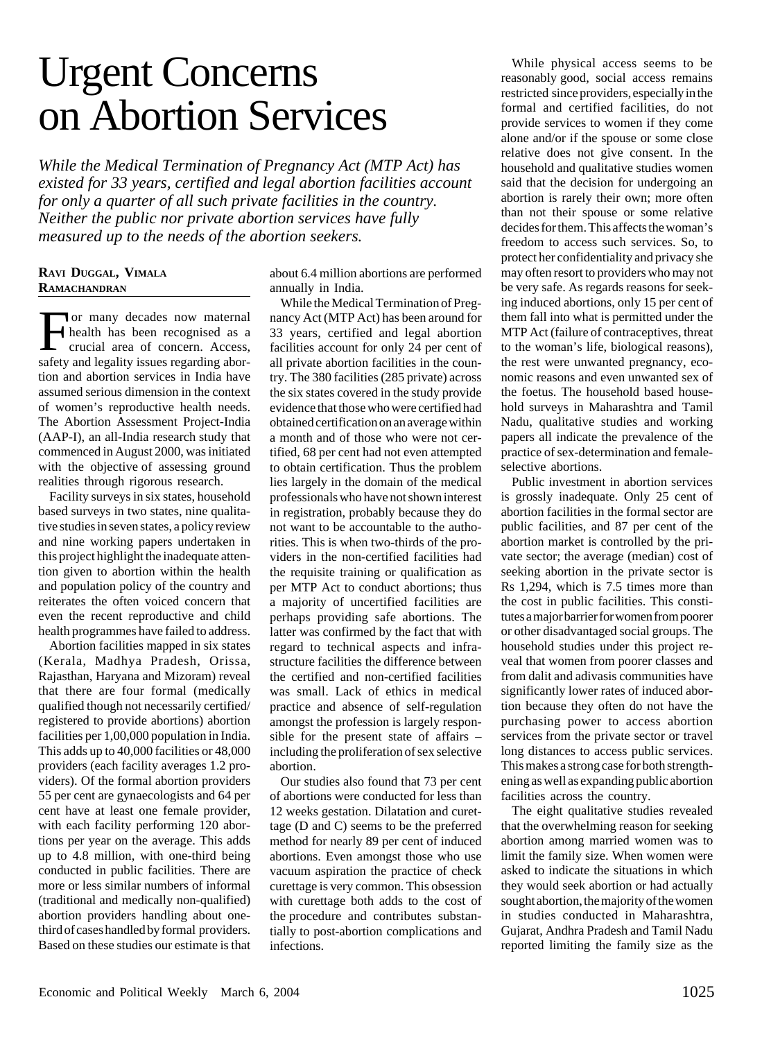## Urgent Concerns on Abortion Services

*While the Medical Termination of Pregnancy Act (MTP Act) has existed for 33 years, certified and legal abortion facilities account for only a quarter of all such private facilities in the country. Neither the public nor private abortion services have fully measured up to the needs of the abortion seekers.*

## **RAVI DUGGAL, VIMALA RAMACHANDRAN**

For many decades now maternal<br>health has been recognised as a<br>crucial area of concern. Access, health has been recognised as a crucial area of concern. Access, safety and legality issues regarding abortion and abortion services in India have assumed serious dimension in the context of women's reproductive health needs. The Abortion Assessment Project-India (AAP-I), an all-India research study that commenced in August 2000, was initiated with the objective of assessing ground realities through rigorous research.

Facility surveys in six states, household based surveys in two states, nine qualitative studies in seven states, a policy review and nine working papers undertaken in this project highlight the inadequate attention given to abortion within the health and population policy of the country and reiterates the often voiced concern that even the recent reproductive and child health programmes have failed to address.

Abortion facilities mapped in six states (Kerala, Madhya Pradesh, Orissa, Rajasthan, Haryana and Mizoram) reveal that there are four formal (medically qualified though not necessarily certified/ registered to provide abortions) abortion facilities per 1,00,000 population in India. This adds up to 40,000 facilities or 48,000 providers (each facility averages 1.2 providers). Of the formal abortion providers 55 per cent are gynaecologists and 64 per cent have at least one female provider, with each facility performing 120 abortions per year on the average. This adds up to 4.8 million, with one-third being conducted in public facilities. There are more or less similar numbers of informal (traditional and medically non-qualified) abortion providers handling about onethird of cases handled by formal providers. Based on these studies our estimate is that

about 6.4 million abortions are performed annually in India.

While the Medical Termination of Pregnancy Act (MTP Act) has been around for 33 years, certified and legal abortion facilities account for only 24 per cent of all private abortion facilities in the country. The 380 facilities (285 private) across the six states covered in the study provide evidence that those who were certified had obtained certification on an average within a month and of those who were not certified, 68 per cent had not even attempted to obtain certification. Thus the problem lies largely in the domain of the medical professionals who have not shown interest in registration, probably because they do not want to be accountable to the authorities. This is when two-thirds of the providers in the non-certified facilities had the requisite training or qualification as per MTP Act to conduct abortions; thus a majority of uncertified facilities are perhaps providing safe abortions. The latter was confirmed by the fact that with regard to technical aspects and infrastructure facilities the difference between the certified and non-certified facilities was small. Lack of ethics in medical practice and absence of self-regulation amongst the profession is largely responsible for the present state of affairs – including the proliferation of sex selective abortion.

Our studies also found that 73 per cent of abortions were conducted for less than 12 weeks gestation. Dilatation and curettage (D and C) seems to be the preferred method for nearly 89 per cent of induced abortions. Even amongst those who use vacuum aspiration the practice of check curettage is very common. This obsession with curettage both adds to the cost of the procedure and contributes substantially to post-abortion complications and infections.

While physical access seems to be reasonably good, social access remains restricted since providers, especially in the formal and certified facilities, do not provide services to women if they come alone and/or if the spouse or some close relative does not give consent. In the household and qualitative studies women said that the decision for undergoing an abortion is rarely their own; more often than not their spouse or some relative decides for them. This affects the woman's freedom to access such services. So, to protect her confidentiality and privacy she may often resort to providers who may not be very safe. As regards reasons for seeking induced abortions, only 15 per cent of them fall into what is permitted under the MTP Act (failure of contraceptives, threat to the woman's life, biological reasons), the rest were unwanted pregnancy, economic reasons and even unwanted sex of the foetus. The household based household surveys in Maharashtra and Tamil Nadu, qualitative studies and working papers all indicate the prevalence of the practice of sex-determination and femaleselective abortions.

Public investment in abortion services is grossly inadequate. Only 25 cent of abortion facilities in the formal sector are public facilities, and 87 per cent of the abortion market is controlled by the private sector; the average (median) cost of seeking abortion in the private sector is Rs 1,294, which is 7.5 times more than the cost in public facilities. This constitutes a major barrier for women from poorer or other disadvantaged social groups. The household studies under this project reveal that women from poorer classes and from dalit and adivasis communities have significantly lower rates of induced abortion because they often do not have the purchasing power to access abortion services from the private sector or travel long distances to access public services. This makes a strong case for both strengthening as well as expanding public abortion facilities across the country.

The eight qualitative studies revealed that the overwhelming reason for seeking abortion among married women was to limit the family size. When women were asked to indicate the situations in which they would seek abortion or had actually sought abortion, the majority of the women in studies conducted in Maharashtra, Gujarat, Andhra Pradesh and Tamil Nadu reported limiting the family size as the